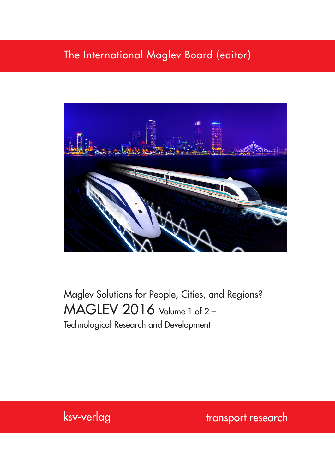### The International Maglev Board (editor)



# Maglev Solutions for People, Cities, and Regions? MAGLEV 2016 Volume 1 of 2 – Technological Research and Development



transport research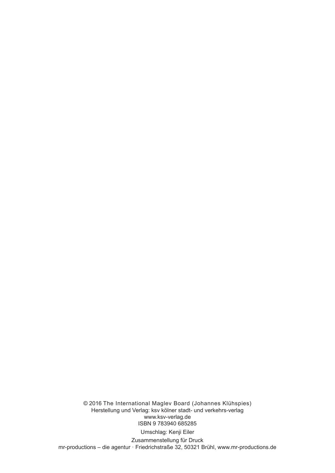© 2016 The International Maglev Board (Johannes Klühspies) Herstellung und Verlag: ksv kölner stadt- und verkehrs-verlag www.ksv-verlag.de ISBN 9 783940 685285 Umschlag: Kenji Eiler Zusammenstellung für Druck

mr-productions – die agentur · Friedrichstraße 32, 50321 Brühl, www.mr-productions.de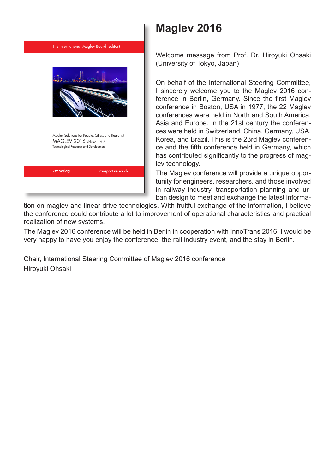

# **Maglev 2016**

Welcome message from Prof. Dr. Hiroyuki Ohsaki (University of Tokyo, Japan)

On behalf of the International Steering Committee, I sincerely welcome you to the Maglev 2016 conference in Berlin, Germany. Since the first Maglev conference in Boston, USA in 1977, the 22 Maglev conferences were held in North and South America, Asia and Europe. In the 21st century the conferences were held in Switzerland, China, Germany, USA, Korea, and Brazil. This is the 23rd Maglev conference and the fifth conference held in Germany, which has contributed significantly to the progress of maglev technology.

The Maglev conference will provide a unique opportunity for engineers, researchers, and those involved in railway industry, transportation planning and urban design to meet and exchange the latest informa-

tion on maglev and linear drive technologies. With fruitful exchange of the information, I believe the conference could contribute a lot to improvement of operational characteristics and practical realization of new systems.

The Maglev 2016 conference will be held in Berlin in cooperation with InnoTrans 2016. I would be very happy to have you enjoy the conference, the rail industry event, and the stay in Berlin.

Chair, International Steering Committee of Maglev 2016 conference Hiroyuki Ohsaki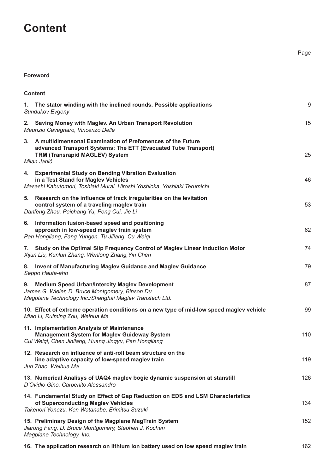## **Content**

#### **Foreword**

| <b>Content</b>                                                                                                                                                                             |     |
|--------------------------------------------------------------------------------------------------------------------------------------------------------------------------------------------|-----|
| 1. The stator winding with the inclined rounds. Possible applications<br>Sundukov Evgeny                                                                                                   | 9   |
| Saving Money with Maglev. An Urban Transport Revolution<br>2.<br>Maurizio Cavagnaro, Vincenzo Delle                                                                                        | 15  |
| A multidimensonal Examination of Prefomences of the Future<br>3.<br>advanced Transport Systems: The ETT (Evacuated Tube Transport)<br><b>TRM (Transrapid MAGLEV) System</b><br>Milan Janić | 25  |
| 4. Experimental Study on Bending Vibration Evaluation<br>in a Test Stand for Maglev Vehicles<br>Masashi Kabutomori, Toshiaki Murai, Hiroshi Yoshioka, Yoshiaki Terumichi                   | 46  |
| 5. Research on the influence of track irregularities on the levitation<br>control system of a traveling maglev train<br>Danfeng Zhou, Peichang Yu, Peng Cui, Jie Li                        | 53  |
| 6. Information fusion-based speed and positioning<br>approach in low-speed maglev train system<br>Pan Hongliang, Fang Yungen, Tu Jiliang, Cu Weigi                                         | 62  |
| Study on the Optimal Slip Frequency Control of Maglev Linear Induction Motor<br>7.<br>Xijun Liu, Kunlun Zhang, Wenlong Zhang, Yin Chen                                                     | 74  |
| 8. Invent of Manufacturing Maglev Guidance and Maglev Guidance<br>Seppo Hauta-aho                                                                                                          | 79  |
| 9. Medium Speed Urban/Intercity Maglev Development<br>James G. Wieler, D. Bruce Montgomery, Binson Du<br>Magplane Technology Inc./Shanghai Maglev Transtech Ltd.                           | 87  |
| 10. Effect of extreme operation conditions on a new type of mid-low speed maglev vehicle<br>Miao Li, Ruiming Zou, Weihua Ma                                                                | 99  |
| 11. Implementation Analysis of Maintenance<br><b>Management System for Maglev Guideway System</b><br>Cui Weiqi, Chen Jinliang, Huang Jingyu, Pan Hongliang                                 | 110 |
| 12. Research on influence of anti-roll beam structure on the<br>line adaptive capacity of low-speed maglev train<br>Jun Zhao, Weihua Ma                                                    | 119 |
| 13. Numerical Analisys of UAQ4 maglev bogie dynamic suspension at stanstill<br>D'Ovidio Gino, Carpenito Alessandro                                                                         | 126 |
| 14. Fundamental Study on Effect of Gap Reduction on EDS and LSM Characteristics<br>of Superconducting Maglev Vehicles<br>Takenori Yonezu, Ken Watanabe, Erimitsu Suzuki                    | 134 |
| 15. Preliminary Design of the Magplane MagTrain System<br>Jiarong Fang, D. Bruce Montgomery, Stephen J. Kochan<br>Magplane Technology, Inc.                                                | 152 |
| 16. The application research on lithium ion battery used on low speed maglev train                                                                                                         | 162 |

Page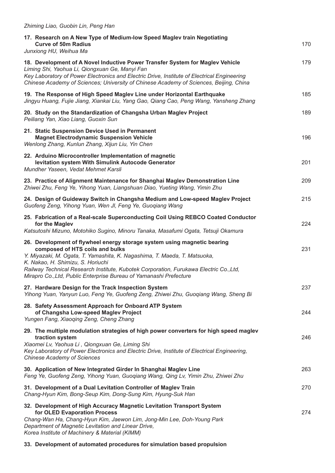| Zhiming Liao, Guobin Lin, Peng Han                                                                                                                                                                                                                                                                                       |     |
|--------------------------------------------------------------------------------------------------------------------------------------------------------------------------------------------------------------------------------------------------------------------------------------------------------------------------|-----|
| 17. Research on A New Type of Medium-low Speed Maglev train Negotiating<br><b>Curve of 50m Radius</b><br>Junxiong HU, Weihua Ma                                                                                                                                                                                          | 170 |
| 18. Development of A Novel Inductive Power Transfer System for Maglev Vehicle<br>Liming Shi, Yaohua Li, Qiongxuan Ge, Manyi Fan<br>Key Laboratory of Power Electronics and Electric Drive, Institute of Electrical Engineering<br>Chinese Academy of Sciences; University of Chinese Academy of Sciences, Beijing, China | 179 |
| 19. The Response of High Speed Maglev Line under Horizontal Earthquake<br>Jingyu Huang, Fujie Jiang, Xiankai Liu, Yang Gao, Qiang Cao, Peng Wang, Yansheng Zhang                                                                                                                                                         | 185 |
| 20. Study on the Standardization of Changsha Urban Maglev Project<br>Peiliang Yan, Xiao Liang, Guoxin Sun                                                                                                                                                                                                                | 189 |
| 21. Static Suspension Device Used in Permanent<br><b>Magnet Electrodynamic Suspension Vehicle</b><br>Wenlong Zhang, Kunlun Zhang, Xijun Liu, Yin Chen                                                                                                                                                                    | 196 |
| 22. Arduino Microcontroller Implementation of magnetic<br>levitation system With Simulink Autocode Generator<br>Mundher Yaseen, Vedat Mehmet Karsli                                                                                                                                                                      | 201 |
| 23. Practice of Alignment Maintenance for Shanghai Maglev Demonstration Line<br>Zhiwei Zhu, Feng Ye, Yihong Yuan, Liangshuan Diao, Yueting Wang, Yimin Zhu                                                                                                                                                               | 209 |
| 24. Design of Guideway Switch in Changsha Medium and Low-speed Maglev Project<br>Guofeng Zeng, Yihong Yuan, Wen Jl, Feng Ye, Guoqiang Wang                                                                                                                                                                               | 215 |
| 25. Fabrication of a Real-scale Superconducting Coil Using REBCO Coated Conductor<br>for the Maglev<br>Katsutoshi Mizuno, Motohiko Sugino, Minoru Tanaka, Masafumi Ogata, Tetsuji Okamura                                                                                                                                | 224 |
| 26. Development of flywheel energy storage system using magnetic bearing<br>composed of HTS coils and bulks<br>Y. Miyazaki, M. Ogata, T. Yamashita, K. Nagashima, T. Maeda, T. Matsuoka,<br>K. Nakao, H. Shimizu, S. Horiuchi<br>Railway Technical Research Institute, Kubotek Corporation, Furukawa Electric Co., Ltd,  | 231 |
| Mirapro Co., Ltd, Public Enterprise Bureau of Yamanashi Prefecture<br>27. Hardware Design for the Track Inspection System<br>Yihong Yuan, Yanyun Luo, Feng Ye, Guofeng Zeng, Zhiwei Zhu, Guogiang Wang, Sheng Bi                                                                                                         | 237 |
| 28. Safety Assessment Approach for Onboard ATP System<br>of Changsha Low-speed Maglev Project<br>Yungen Fang, Xiaoqing Zeng, Cheng Zhang                                                                                                                                                                                 | 244 |
| 29. The multiple modulation strategies of high power converters for high speed maglev<br>traction system<br>Xiaomei Lv, Yaohua Li, Qiongxuan Ge, Liming Shi<br>Key Laboratory of Power Electronics and Electric Drive, Institute of Electrical Engineering,<br><b>Chinese Academy of Sciences</b>                        | 246 |
| 30. Application of New Integrated Girder In Shanghai Maglev Line<br>Feng Ye, Guofeng Zeng, Yihong Yuan, Guogiang Wang, Qing Lv, Yimin Zhu, Zhiwei Zhu                                                                                                                                                                    | 263 |
| 31. Development of a Dual Levitation Controller of Maglev Train                                                                                                                                                                                                                                                          | 270 |

**32. Development of High Accuracy Magnetic Levitation Transport System for OLED Evaporation Process** 274

*Chang-Hyun Kim, Bong-Seup Kim, Dong-Sung Kim, Hyung-Suk Han*

*Chang-Wan Ha, Chang-Hyun Kim, Jaewon Lim, Jong-Min Lee, Doh-Young Park Department of Magnetic Levitation and Linear Drive, Korea Institute of Machinery & Material (KIMM)*

**33. Development of automated procedures for simulation based propulsion**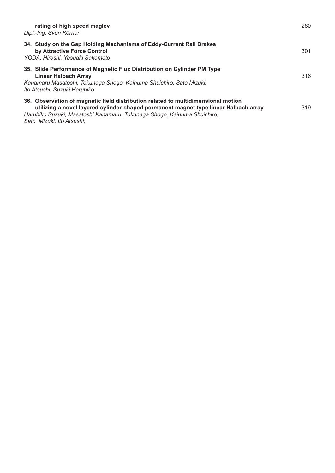| rating of high speed maglev<br>Dipl.-Ing. Sven Körner                                                                                                                                                                                                                             | 280 |
|-----------------------------------------------------------------------------------------------------------------------------------------------------------------------------------------------------------------------------------------------------------------------------------|-----|
| 34. Study on the Gap Holding Mechanisms of Eddy-Current Rail Brakes<br>by Attractive Force Control<br>YODA, Hiroshi, Yasuaki Sakamoto                                                                                                                                             | 301 |
| 35. Slide Performance of Magnetic Flux Distribution on Cylinder PM Type<br><b>Linear Halbach Array</b><br>Kanamaru Masatoshi, Tokunaga Shogo, Kainuma Shuichiro, Sato Mizuki,<br>Ito Atsushi, Suzuki Haruhiko                                                                     | 316 |
| 36. Observation of magnetic field distribution related to multidimensional motion<br>utilizing a novel layered cylinder-shaped permanent magnet type linear Halbach array<br>Haruhiko Suzuki, Masatoshi Kanamaru, Tokunaga Shogo, Kainuma Shuichiro,<br>Sato Mizuki, Ito Atsushi, | 319 |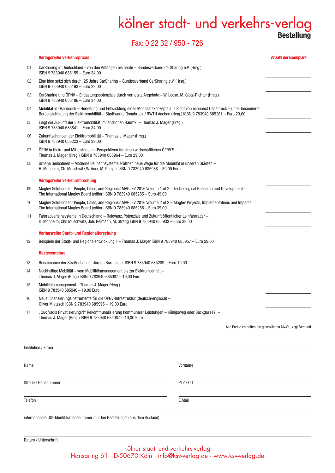### kölner stadt- und verkehrs-verlag **Bestellung**

### Fax: 0 22 32 / 950 - 726

### Institution / Firma Name Vorname Straße / Hausnummer PLZ / Ort **Verlagsreihe Verkehrspraxis Anzahl der Exemplare** 01 CarSharing in Deutschland - von den Anfängen bis heute – Bundesverband CarSharing e.V. (Hrsg.) ISBN 9 783940 685155 – Euro 34,00 02 Eine Idee setzt sich durch! 25 Jahre CarSharing – Bundesverband CarSharing e.V. (Hrsg.) ISBN 9 783940 685193 – Euro 29,00 03 CarSharing und ÖPNV – Entlastungspotenziale durch vernetzte Angebote – W. Loose, M. Glotz-Richter (Hrsg.) ISBN 9 783940 685186 – Euro 34,00 04 Mobilität in Osnabrück – Herleitung und Entwicklung eines Mobilitätskonzepts aus Sicht von econnect Osnabrück – unter besonderer Berücksichtigung der Elektromobilität – Stadtwerke Osnabrück / RWTH Aachen (Hrsg.) ISBN 9 783940 685261 – Euro 29,00 05 Liegt die Zukunft der Elektromobilität im ländlichen Raum?! – Thomas J. Mager (Hrsg.) ISBN 9 783940 685841 – Euro 34,00 06 Zukunftschancen der Elektromobilität – Thomas J. Mager (Hrsg.) ISBN 9 783940 685223 – Euro 29,00 07 ÖPNV in Klein- und Mittelstädten – Perspektiven für einen wirtschaftlichen ÖPNV?! – Thomas J. Mager (Hrsg.) ISBN 9 783940 685964 – Euro 29,00 08 Urbane Seilbahnen – Moderne Seilbahnsysteme eröffnen neue Wege für die Mobilität in unseren Städten – H. Monheim, Ch. Muschwitz,W. Auer, M. Philippi ISBN 9 783940 685988 – 39,00 Euro **Verlagsreihe Verkehrsforschung** 09 Maglev Solutions for People, Cities, and Regions? MAGLEV 2016 Volume 1 of 2 – Technological Research and Development – The International Maglev Board (editor) ISBN 9 783940 685285 – Euro 49,00 10 Maglev Solutions for People, Cities, and Regions? MAGLEV 2016 Volume 2 of 2 – Maglev Projects, Implementations and Impacts The International Maglev Board (editor) ISBN 9 783940 685285 – Euro 39,00 11 Fahrradverleihsysteme in Deutschland – Relevanz, Potenziale und Zukunft öffentlicher Leihfahrräder – H. Monheim, Chr. Muschwitz, Joh. Reimann, M. Streng ISBN 9 783940 685933 – Euro 39,00 **Verlagsreihe Stadt- und Regionalforschung** 12 Beispiele der Stadt- und Regionalentwicklung II – Thomas J. Mager ISBN 9 783940 685957 – Euro 29,00 **Restexemplare**  13 Renaissance der Straßenbahn – Jürgen Burmeister ISBN 9 783940 685209 – Euro 19,00 14 Nachhaltige Mobilität – vom Mobilitätsmanagement bis zur Elektromobilität – Thomas J. Mager (Hrsg.) ISBN 9 783940 685087 – 19,00 Euro 15 Mobilitätsmanagement – Thomas J. Mager (Hrsg.) ISBN 9 783940 685940 – 19,00 Euro 16 Neue Finanzierungsinstrumente für die ÖPNV-Infrastruktur (deutsch/englisch) – Oliver Mietzsch ISBN 9 783940 685995 – 19,00 Euro 17 "Quo Vadis Privatisierung?!" Rekommunalisierung kommunaler Leistungen – Königsweg oder Sackgasse?! – Thomas J. Mager (Hrsg.) ISBN 9 783940 685087 – 19,00 Euro Alle Preise enthalten die gesetzlichen MwSt., zzgl. Versand

internationale USt-Identifikationsnummer (nur bei Bestellungen aus dem Ausland)

Telefon E.Mail

#### kölner stadt- und verkehrs-verlag Hansaring 61 · D-50670 Köln · info@ksv-verlag.de · www.ksv-verlag.de